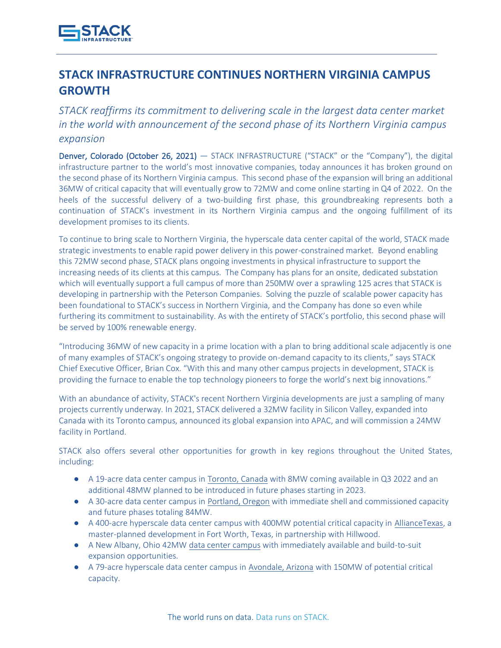

## **STACK INFRASTRUCTURE CONTINUES NORTHERN VIRGINIA CAMPUS GROWTH**

*STACK reaffirms its commitment to delivering scale in the largest data center market in the world with announcement of the second phase of its Northern Virginia campus expansion*

Denver, Colorado (October 26, 2021) — STACK INFRASTRUCTURE ("STACK" or the "Company"), the digital infrastructure partner to the world's most innovative companies, today announces it has broken ground on the second phase of its Northern Virginia campus. This second phase of the expansion will bring an additional 36MW of critical capacity that will eventually grow to 72MW and come online starting in Q4 of 2022. On the heels of the successful delivery of a two-building first phase, this groundbreaking represents both a continuation of STACK's investment in its Northern Virginia campus and the ongoing fulfillment of its development promises to its clients.

To continue to bring scale to Northern Virginia, the hyperscale data center capital of the world, STACK made strategic investments to enable rapid power delivery in this power-constrained market. Beyond enabling this 72MW second phase, STACK plans ongoing investments in physical infrastructure to support the increasing needs of its clients at this campus. The Company has plans for an onsite, dedicated substation which will eventually support a full campus of more than 250MW over a sprawling 125 acres that STACK is developing in partnership with the Peterson Companies. Solving the puzzle of scalable power capacity has been foundational to STACK's success in Northern Virginia, and the Company has done so even while furthering its commitment to sustainability. As with the entirety of STACK's portfolio, this second phase will be served by 100% renewable energy.

"Introducing 36MW of new capacity in a prime location with a plan to bring additional scale adjacently is one of many examples of STACK's ongoing strategy to provide on-demand capacity to its clients," says STACK Chief Executive Officer, Brian Cox. "With this and many other campus projects in development, STACK is providing the furnace to enable the top technology pioneers to forge the world's next big innovations."

With an abundance of activity, STACK's recent Northern Virginia developments are just a sampling of many projects currently underway. In 2021, STACK delivered a 32MW facility in Silicon Valley, expanded into Canada with its Toronto campus, announced its global expansion into APAC, and will commission a 24MW facility in Portland.

STACK also offers several other opportunities for growth in key regions throughout the United States, including:

- A 19-acre data center campus i[n Toronto, Canada](https://www.stackinfra.com/locations/toronto/) with 8MW coming available in Q3 2022 and an additional 48MW planned to be introduced in future phases starting in 2023.
- A 30-acre data center campus i[n Portland, Oregon](https://www.stackinfra.com/locations/portland/) with immediate shell and commissioned capacity and future phases totaling 84MW.
- A 400-acre hyperscale data center campus with 400MW potential critical capacity in [AllianceTexas,](https://www.stackinfra.com/markets/alliancetexas/) a master-planned development in Fort Worth, Texas, in partnership with Hillwood.
- A New Albany, Ohio 42M[W](https://www.stackinfra.com/markets/new-albany/) [data center](https://www.stackinfra.com/markets/new-albany/) campus with immediately available and build-to-suit expansion opportunities.
- A 79-acre hyperscale data center campus in [Avondale, Arizona](https://www.stackinfra.com/stack-infrastructure-launches-into-arizona/) with 150MW of potential critical capacity.